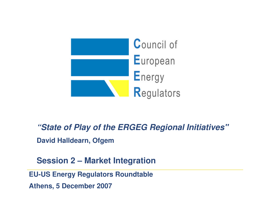

### "State of Play of the **ERGEG** Regional Initiatives"

**David Halldearn, Ofgem**

**Session 2 – Market Integration** 

**EU-US Energy Regulators Roundtable**

**Athens, 5 December 2007**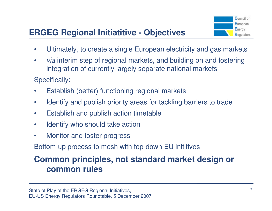# **ERGEG Regional Initiatitive - Objectives**



- $\bullet$ Ultimately, to create a single European electricity and gas markets
- •• *via* interim step of regional markets, and building on and fostering integration of currently largely separate national markets

Specifically:

- •Establish (better) functioning regional markets
- $\bullet$ Identify and publish priority areas for tackling barriers to trade
- $\bullet$ Establish and publish action timetable
- $\bullet$ Identify who should take action
- •Monitor and foster progress

Bottom-up process to mesh with top-down EU inititives

## **Common principles, not standard market design or common rules**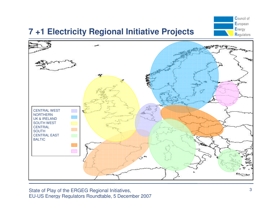# **7 +1 Electricity Regional Initiative Projects**





State of Play of the ERGEG Regional Initiatives, EU-US Energy Regulators Roundtable, 5 December <sup>2007</sup>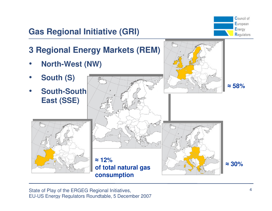

# **Gas Regional Initiative (GRI)**



State of Play of the ERGEG Regional Initiatives, EU-US Energy Regulators Roundtable, 5 December <sup>2007</sup>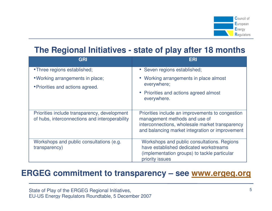

### **The Regional Initiatives - state of play after 18 months**

| <b>GRI</b>                                                                                     | ERI                                                                                                                                                                                     |
|------------------------------------------------------------------------------------------------|-----------------------------------------------------------------------------------------------------------------------------------------------------------------------------------------|
| • Three regions established;                                                                   | • Seven regions established;                                                                                                                                                            |
| • Working arrangements in place;<br>• Priorities and actions agreed.                           | Working arrangements in place almost<br>everywhere;                                                                                                                                     |
|                                                                                                | • Priorities and actions agreed almost<br>everywhere.                                                                                                                                   |
| Priorities include transparency, development<br>of hubs, interconnections and interoperability | Priorities include an improvements to congestion<br>management methods and use of<br>interconnections, wholesale market transparency<br>and balancing market integration or improvement |
| Workshops and public consultations (e.g.<br>transparency)                                      | Workshops and public consultations. Regions<br>have established dedicated workstreams<br>(implementation groups) to tackle particular<br>priority issues                                |

### **ERGEG commitment to transparency – see www.ergeg.org**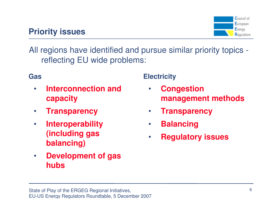## **Priority issues**



All regions have identified and pursue similar priority topics reflecting EU wide problems:

### **Gas**

- $\bullet$  **Interconnection and capacity**
- $\bullet$ **Transparency**
- $\bullet$  **Interoperability (including gas balancing)**
- $\bullet$  **Development of gas hubs**

### **Electricity**

- $\bullet$  **Congestion management methods**
- $\bullet$ **Transparency**
- $\bullet$ **Balancing**
- $\bullet$ **Regulatory issues**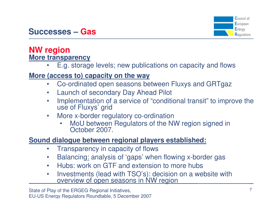

# **Successes – Gas**

#### **NW regionMore transparency**

 E.g. storage levels; new publications on capacity and flows•

### **More (access to) capacity on the way**

- Co-ordinated open seasons between Fluxys and GRTgaz •
- $\bullet$ Launch of secondary Day Ahead Pilot
- •Implementation of a service of "conditional transit" to improve the use of Fluxys' grid
- More x-border regulatory co-ordination•
	- MoU between Regulators of the NW region signed in October 2007. •

### **Sound dialogue between regional players established:**

- $\bullet$ Transparency in capacity of flows
- Balancing: analysis of 'gaps' when flowing x-border gas •
- $\bullet$ Hubs: work on GTF and extension to more hubs
- Investments (lead with TSO's): decision on a website with overview of open seasons in NW region $\bullet$

State of Play of the ERGEG Regional Initiatives, EU-US Energy Regulators Roundtable, 5 December <sup>2007</sup>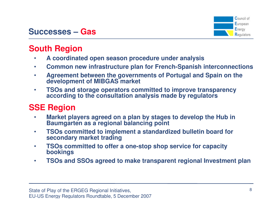

# **Successes – Gas**

### **South Region**

- **A coordinated open season procedure under analysis** $\bullet$
- **Common new infrastructure plan for French-Spanish interconnections**•
- $\bullet$  **Agreement between the governments of Portugal and Spain on the development of MIBGAS market**
- $\bullet$  **TSOs and storage operators committed to improve transparency according to the consultation analysis made by regulators**

### **SSE Region**

- **Market players agreed on a plan by stages to develop the Hub in**  •**Baumgarten as a regional balancing point**
- $\bullet$  **TSOs committed to implement a standardized bulletin board for secondary market trading**
- **TSOs committed to offer a one-stop shop service for capacity**  •**bookings**
- $\bullet$ **TSOs and SSOs agreed to make transparent regional Investment plan**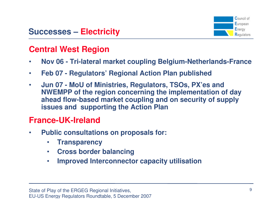

## **Central West Region**

- $\bullet$ **Nov 06 - Tri-lateral market coupling Belgium-Netherlands-France**
- •**Feb 07 - Regulators' Regional Action Plan published**
- $\bullet$  **Jun 07 - MoU of Ministries, Regulators, TSOs, PX'es and NWEMPP of the region concerning the implementation of day ahead flow-based market coupling and on security of supply issues and supporting the Action Plan**

## **France-UK-Ireland**

- • **Public consultations on proposals for:**
	- $\bullet$ **Transparency**
	- **Cross border balancing** $\bullet$
	- **Improved Interconnector capacity utilisation**•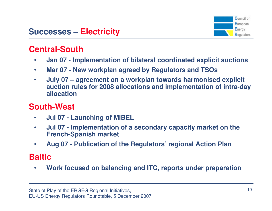

### **Central-South**

- **Jan 07 - Implementation of bilateral coordinated explicit auctions** $\bullet$
- $\bullet$ **Mar 07 - New workplan agreed by Regulators and TSOs**
- $\bullet$  **July 07 – agreement on a workplan towards harmonised explicit auction rules for 2008 allocations and implementation of intra-day allocation**

## **South-West**

- $\bullet$ **Jul 07 - Launching of MIBEL**
- **Jul 07 - Implementation of a secondary capacity market on the**  •**French-Spanish market**
- •**Aug 07 - Publication of the Regulators' regional Action Plan**

## **Baltic**

 **Work focused on balancing and ITC, reports under preparation**•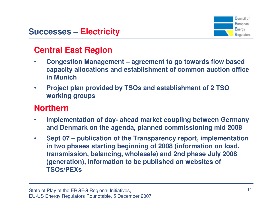

### **Central East Region**

- • **Congestion Management – agreement to go towards flow based capacity allocations and establishment of common auction office in Munich**
- $\bullet$  **Project plan provided by TSOs and establishment of 2 TSO working groups**

### **Northern**

- $\bullet$  **Implementation of day- ahead market coupling between Germany and Denmark on the agenda, planned commissioning mid 2008**
- • **Sept 07 – publication of the Transparency report, implementation in two phases starting beginning of 2008 (information on load, transmission, balancing, wholesale) and 2nd phase July 2008 (generation), information to be published on websites of TSOs/PEXs**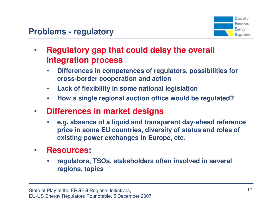

- $\bullet$  **Regulatory gap that could delay the overall integration process**
	- • **Differences in competences of regulators, possibilities for cross-border cooperation and action**
	- •**Lack of flexibility in some national legislation**
	- •**How a single regional auction office would be regulated?**
- $\bullet$  **Differences in market designs**
	- • **e.g. absence of a liquid and transparent day-ahead reference price in some EU countries, diversity of status and roles of existing power exchanges in Europe, etc.**
- $\bullet$  **Resources:** 
	- • **regulators, TSOs, stakeholders often involved in several regions, topics**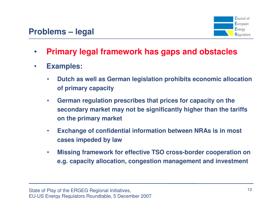

- $\bullet$ **Primary legal framework has gaps and obstacles**
- $\bullet$  **Examples:**
	- • **Dutch as well as German legislation prohibits economic allocation of primary capacity**
	- $\bullet$  **German regulation prescribes that prices for capacity on the secondary market may not be significantly higher than the tariffs on the primary market**
	- $\bullet$  **Exchange of confidential information between NRAs is in most cases impeded by law**
	- $\bullet$  **Missing framework for effective TSO cross-border cooperation on e.g. capacity allocation, congestion management and investment**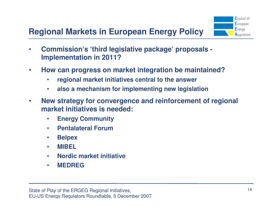# **Regional Markets in European Energy Policy**



- $\bullet$  **Commission's 'third legislative package' proposals - Implementation in 2011?**
- $\bullet$  **How can progress on market integration be maintained?**
	- •**regional market initiatives central to the answer**
	- •**also a mechanism for implementing new legislation**
- $\bullet$  **New strategy for convergence and reinforcement of regional market initiatives is needed:**
	- $\bullet$ **Energy Community**
	- •**Pentalateral Forum**
	- $\bullet$ **Belpex**
	- •**MIBEL**
	- **Nordic market initiative**•
	- •**MEDREG**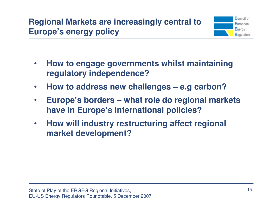

- $\bullet$  **How to engage governments whilst maintaining regulatory independence?**
- $\bullet$ **How to address new challenges – e.g carbon?**
- $\bullet$  **Europe's borders – what role do regional markets have in Europe's international policies?**
- $\bullet$  **How will industry restructuring affect regional market development?**